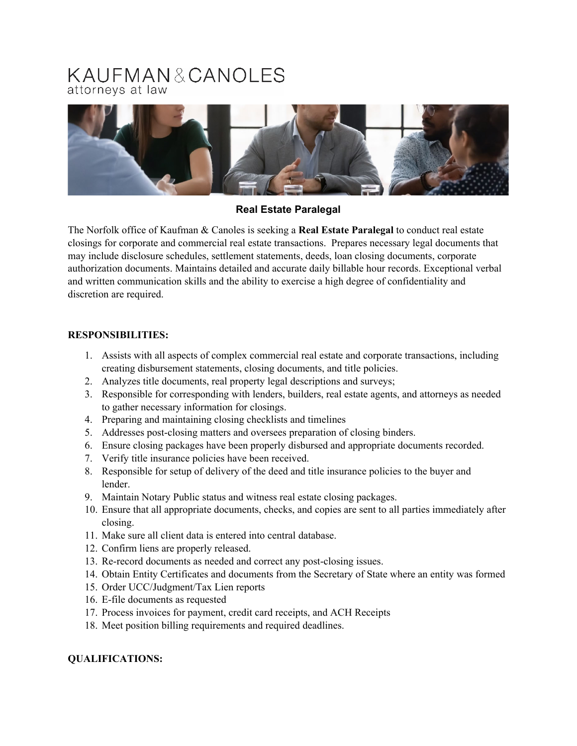# KAUFMAN&CANOLES attorneys at law



## **Real Estate Paralegal**

The Norfolk office of Kaufman & Canoles is seeking a **Real Estate Paralegal** to conduct real estate closings for corporate and commercial real estate transactions. Prepares necessary legal documents that may include disclosure schedules, settlement statements, deeds, loan closing documents, corporate authorization documents. Maintains detailed and accurate daily billable hour records. Exceptional verbal and written communication skills and the ability to exercise a high degree of confidentiality and discretion are required.

## **RESPONSIBILITIES:**

- 1. Assists with all aspects of complex commercial real estate and corporate transactions, including creating disbursement statements, closing documents, and title policies.
- 2. Analyzes title documents, real property legal descriptions and surveys;
- 3. Responsible for corresponding with lenders, builders, real estate agents, and attorneys as needed to gather necessary information for closings.
- 4. Preparing and maintaining closing checklists and timelines
- 5. Addresses post-closing matters and oversees preparation of closing binders.
- 6. Ensure closing packages have been properly disbursed and appropriate documents recorded.
- 7. Verify title insurance policies have been received.
- 8. Responsible for setup of delivery of the deed and title insurance policies to the buyer and lender.
- 9. Maintain Notary Public status and witness real estate closing packages.
- 10. Ensure that all appropriate documents, checks, and copies are sent to all parties immediately after closing.
- 11. Make sure all client data is entered into central database.
- 12. Confirm liens are properly released.
- 13. Re-record documents as needed and correct any post-closing issues.
- 14. Obtain Entity Certificates and documents from the Secretary of State where an entity was formed
- 15. Order UCC/Judgment/Tax Lien reports
- 16. E-file documents as requested
- 17. Process invoices for payment, credit card receipts, and ACH Receipts
- 18. Meet position billing requirements and required deadlines.

## **QUALIFICATIONS:**